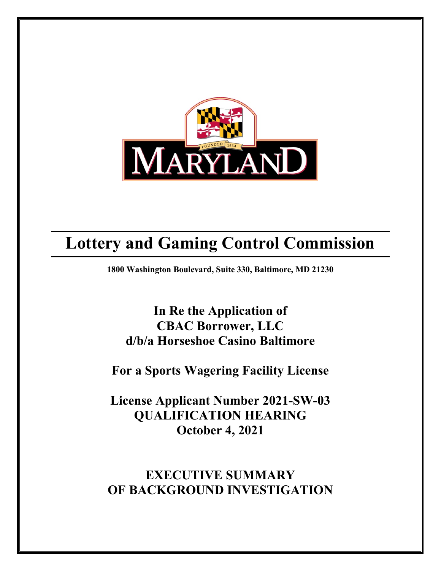

# **Lottery and Gaming Control Commission**

**1800 Washington Boulevard, Suite 330, Baltimore, MD 21230**

**In Re the Application of CBAC Borrower, LLC d/b/a Horseshoe Casino Baltimore**

**For a Sports Wagering Facility License** 

**License Applicant Number 2021-SW-03 QUALIFICATION HEARING October 4, 2021**

**EXECUTIVE SUMMARY OF BACKGROUND INVESTIGATION**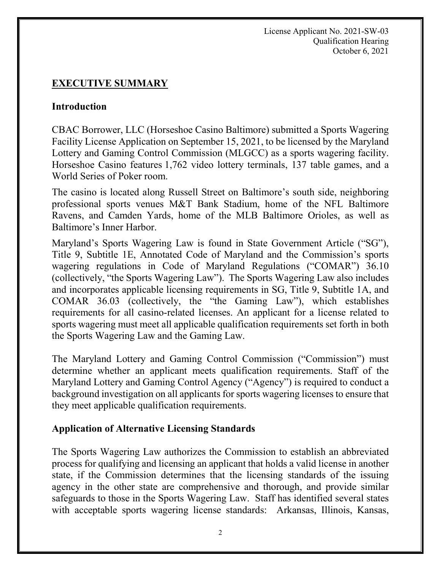License Applicant No. 2021-SW-03 Qualification Hearing October 6, 2021

# **EXECUTIVE SUMMARY**

### **Introduction**

CBAC Borrower, LLC (Horseshoe Casino Baltimore) submitted a Sports Wagering Facility License Application on September 15, 2021, to be licensed by the Maryland Lottery and Gaming Control Commission (MLGCC) as a sports wagering facility. Horseshoe Casino features 1,762 video lottery terminals, 137 table games, and a World Series of Poker room.

The casino is located along Russell Street on Baltimore's south side, neighboring professional sports venues M&T Bank Stadium, home of the NFL Baltimore Ravens, and Camden Yards, home of the MLB Baltimore Orioles, as well as Baltimore's Inner Harbor.

Maryland's Sports Wagering Law is found in State Government Article ("SG"), Title 9, Subtitle 1E, Annotated Code of Maryland and the Commission's sports wagering regulations in Code of Maryland Regulations ("COMAR") 36.10 (collectively, "the Sports Wagering Law"). The Sports Wagering Law also includes and incorporates applicable licensing requirements in SG, Title 9, Subtitle 1A, and COMAR 36.03 (collectively, the "the Gaming Law"), which establishes requirements for all casino-related licenses. An applicant for a license related to sports wagering must meet all applicable qualification requirements set forth in both the Sports Wagering Law and the Gaming Law.

The Maryland Lottery and Gaming Control Commission ("Commission") must determine whether an applicant meets qualification requirements. Staff of the Maryland Lottery and Gaming Control Agency ("Agency") is required to conduct a background investigation on all applicants for sports wagering licenses to ensure that they meet applicable qualification requirements.

# **Application of Alternative Licensing Standards**

The Sports Wagering Law authorizes the Commission to establish an abbreviated process for qualifying and licensing an applicant that holds a valid license in another state, if the Commission determines that the licensing standards of the issuing agency in the other state are comprehensive and thorough, and provide similar safeguards to those in the Sports Wagering Law. Staff has identified several states with acceptable sports wagering license standards: Arkansas, Illinois, Kansas,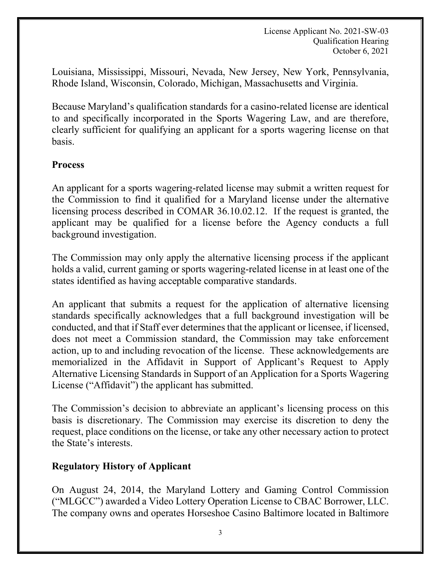Louisiana, Mississippi, Missouri, Nevada, New Jersey, New York, Pennsylvania, Rhode Island, Wisconsin, Colorado, Michigan, Massachusetts and Virginia.

Because Maryland's qualification standards for a casino-related license are identical to and specifically incorporated in the Sports Wagering Law, and are therefore, clearly sufficient for qualifying an applicant for a sports wagering license on that basis.

# **Process**

An applicant for a sports wagering-related license may submit a written request for the Commission to find it qualified for a Maryland license under the alternative licensing process described in COMAR 36.10.02.12. If the request is granted, the applicant may be qualified for a license before the Agency conducts a full background investigation.

The Commission may only apply the alternative licensing process if the applicant holds a valid, current gaming or sports wagering-related license in at least one of the states identified as having acceptable comparative standards.

An applicant that submits a request for the application of alternative licensing standards specifically acknowledges that a full background investigation will be conducted, and that if Staff ever determines that the applicant or licensee, if licensed, does not meet a Commission standard, the Commission may take enforcement action, up to and including revocation of the license. These acknowledgements are memorialized in the Affidavit in Support of Applicant's Request to Apply Alternative Licensing Standards in Support of an Application for a Sports Wagering License ("Affidavit") the applicant has submitted.

The Commission's decision to abbreviate an applicant's licensing process on this basis is discretionary. The Commission may exercise its discretion to deny the request, place conditions on the license, or take any other necessary action to protect the State's interests.

# **Regulatory History of Applicant**

On August 24, 2014, the Maryland Lottery and Gaming Control Commission ("MLGCC") awarded a Video Lottery Operation License to CBAC Borrower, LLC. The company owns and operates Horseshoe Casino Baltimore located in Baltimore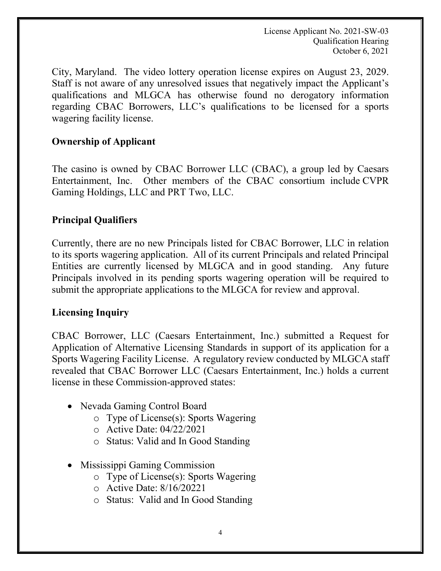License Applicant No. 2021-SW-03 Qualification Hearing October 6, 2021

City, Maryland. The video lottery operation license expires on August 23, 2029. Staff is not aware of any unresolved issues that negatively impact the Applicant's qualifications and MLGCA has otherwise found no derogatory information regarding CBAC Borrowers, LLC's qualifications to be licensed for a sports wagering facility license.

## **Ownership of Applicant**

The casino is owned by CBAC Borrower LLC (CBAC), a group led by Caesars Entertainment, Inc. Other members of the CBAC consortium include CVPR Gaming Holdings, LLC and PRT Two, LLC.

# **Principal Qualifiers**

Currently, there are no new Principals listed for CBAC Borrower, LLC in relation to its sports wagering application. All of its current Principals and related Principal Entities are currently licensed by MLGCA and in good standing. Any future Principals involved in its pending sports wagering operation will be required to submit the appropriate applications to the MLGCA for review and approval.

### **Licensing Inquiry**

CBAC Borrower, LLC (Caesars Entertainment, Inc.) submitted a Request for Application of Alternative Licensing Standards in support of its application for a Sports Wagering Facility License. A regulatory review conducted by MLGCA staff revealed that CBAC Borrower LLC (Caesars Entertainment, Inc.) holds a current license in these Commission-approved states:

- Nevada Gaming Control Board
	- o Type of License(s): Sports Wagering
	- o Active Date: 04/22/2021
	- o Status: Valid and In Good Standing
- Mississippi Gaming Commission
	- o Type of License(s): Sports Wagering
	- o Active Date: 8/16/20221
	- o Status: Valid and In Good Standing